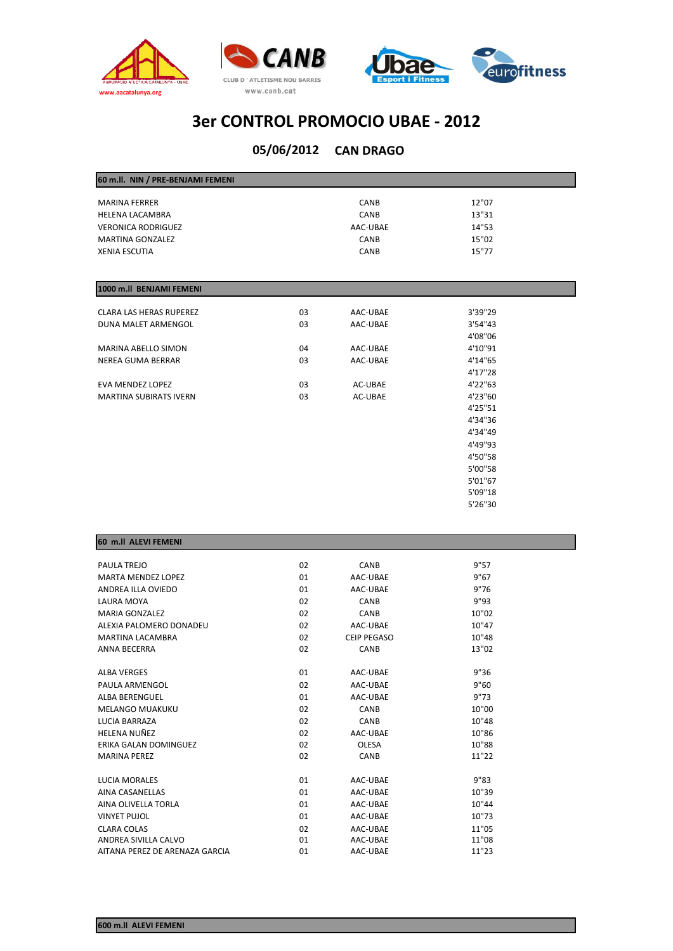



### **CAN DRAGO 05/06/2012**

| 60 m.ll. NIN / PRE-BENJAMI FEMENI |    |             |          |
|-----------------------------------|----|-------------|----------|
| <b>MARINA FERRER</b>              |    | CANB        | 12"07    |
| <b>HELENA LACAMBRA</b>            |    | <b>CANB</b> | 13"31    |
| <b>VERONICA RODRIGUEZ</b>         |    | AAC-UBAE    | 14"53    |
| <b>MARTINA GONZALEZ</b>           |    | CANB        | 15"02    |
| <b>XENIA ESCUTIA</b>              |    | CANB        | 15"77    |
|                                   |    |             |          |
|                                   |    |             |          |
| 1000 m.II BENJAMI FEMENI          |    |             |          |
|                                   |    |             |          |
| <b>CLARA LAS HERAS RUPEREZ</b>    | 03 | AAC-UBAE    | 3'39"29  |
| <b>DUNA MALET ARMENGOL</b>        | 03 | AAC-UBAE    | 3'54"43  |
|                                   |    |             | 4'08"06  |
| MARINA ABELLO SIMON               | 04 | AAC-UBAE    | 4'10"91  |
| NEREA GUMA BERRAR                 | 03 | AAC-UBAE    | 4'14"65  |
|                                   |    |             | 4'17"28  |
| EVA MENDEZ LOPEZ                  | 03 | AC-UBAE     | 4'22"63  |
| <b>MARTINA SUBIRATS IVERN</b>     | 03 | AC-UBAE     | 4'23''60 |
|                                   |    |             | 4'25"51  |
|                                   |    |             | 4'34"36  |
|                                   |    |             | 4'34"49  |
|                                   |    |             | 4'49"93  |
|                                   |    |             | 4'50"58  |
|                                   |    |             | 5'00"58  |
|                                   |    |             | 5'01"67  |
|                                   |    |             |          |

5'09"18 5'26"30

| 60 m.II ALEVI FEMENI           |    |                    |       |  |
|--------------------------------|----|--------------------|-------|--|
|                                |    |                    |       |  |
| PAULA TREJO                    | 02 | CANB               | 9"57  |  |
| <b>MARTA MENDEZ LOPEZ</b>      | 01 | AAC-UBAE           | 9"67  |  |
| ANDREA ILLA OVIEDO             | 01 | AAC-UBAE           | 9"76  |  |
| <b>LAURA MOYA</b>              | 02 | CANB               | 9"93  |  |
| <b>MARIA GONZALEZ</b>          | 02 | CANB               | 10"02 |  |
| ALEXIA PALOMERO DONADEU        | 02 | AAC-UBAE           | 10"47 |  |
| MARTINA LACAMBRA               | 02 | <b>CEIP PEGASO</b> | 10"48 |  |
| <b>ANNA BECERRA</b>            | 02 | CANB               | 13"02 |  |
|                                |    |                    |       |  |
| <b>ALBA VERGES</b>             | 01 | AAC-UBAE           | 9"36  |  |
| PAULA ARMENGOL                 | 02 | AAC-UBAE           | 9"60  |  |
| <b>ALBA BERENGUEL</b>          | 01 | AAC-UBAE           | 9"73  |  |
| <b>MELANGO MUAKUKU</b>         | 02 | CANB               | 10"00 |  |
| <b>IUCIA BARRAZA</b>           | 02 | CANB               | 10"48 |  |
| HELENA NUÑEZ                   | 02 | AAC-UBAE           | 10"86 |  |
| ERIKA GALAN DOMINGUEZ          | 02 | <b>OLESA</b>       | 10"88 |  |
| <b>MARINA PEREZ</b>            | 02 | CANB               | 11"22 |  |
|                                |    |                    |       |  |
| LUCIA MORALES                  | 01 | AAC-UBAE           | 9"83  |  |
| <b>AINA CASANELLAS</b>         | 01 | AAC-UBAE           | 10"39 |  |
| AINA OLIVELLA TORLA            | 01 | AAC-UBAE           | 10"44 |  |
| <b>VINYET PUJOL</b>            | 01 | AAC-UBAE           | 10"73 |  |
| CLARA COLAS                    | 02 | AAC-UBAE           | 11"05 |  |
| ANDREA SIVILLA CALVO           | 01 | AAC-UBAE           | 11"08 |  |
| AITANA PEREZ DE ARENAZA GARCIA | 01 | AAC-UBAE           | 11"23 |  |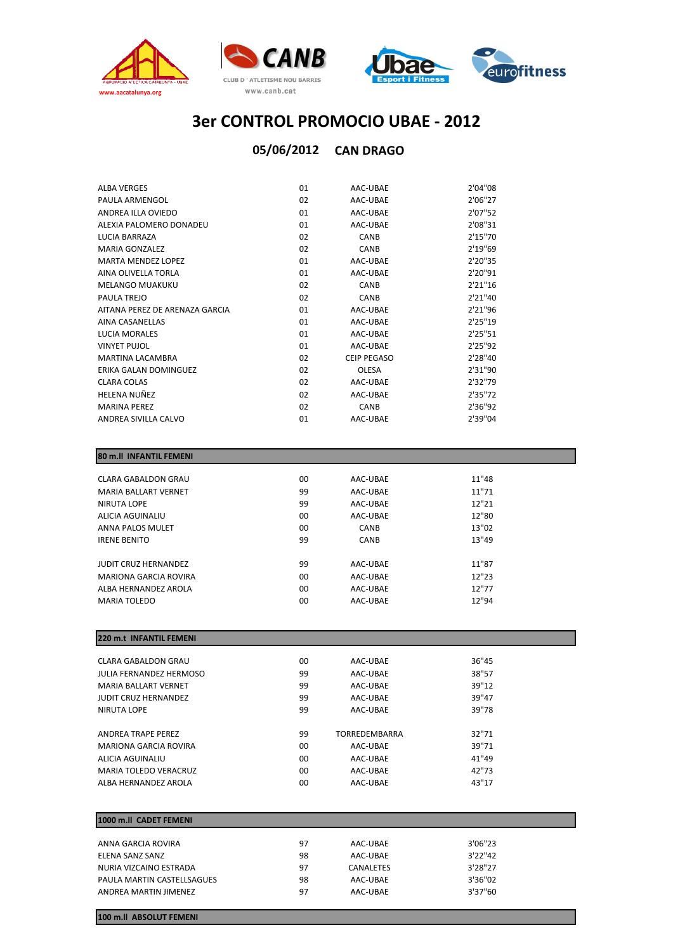



### **05/06/2012 CAN DRAGO**

| <b>ALBA VERGES</b>             | 01 | AAC-UBAE           | 2'04"08 |
|--------------------------------|----|--------------------|---------|
| PAULA ARMENGOL                 | 02 | AAC-UBAE           | 2'06"27 |
| ANDREA ILLA OVIEDO             | 01 | AAC-UBAE           | 2'07"52 |
| ALEXIA PALOMERO DONADEU        | 01 | AAC-UBAE           | 2'08"31 |
| <b>LUCIA BARRAZA</b>           | 02 | CANB               | 2'15"70 |
| <b>MARIA GONZALEZ</b>          | 02 | CANB               | 2'19"69 |
| <b>MARTA MENDEZ LOPEZ</b>      | 01 | AAC-UBAE           | 2'20"35 |
| AINA OLIVELLA TORLA            | 01 | AAC-UBAE           | 2'20"91 |
| <b>MELANGO MUAKUKU</b>         | 02 | CANB               | 2'21"16 |
| PAULA TREJO                    | 02 | CANB               | 2'21"40 |
| AITANA PEREZ DE ARENAZA GARCIA | 01 | AAC-UBAE           | 2'21"96 |
| AINA CASANELLAS                | 01 | AAC-UBAE           | 2'25"19 |
| <b>LUCIA MORALES</b>           | 01 | AAC-UBAE           | 2'25"51 |
| <b>VINYET PUJOL</b>            | 01 | AAC-UBAE           | 2'25"92 |
| MARTINA I ACAMBRA              | 02 | <b>CEIP PEGASO</b> | 2'28"40 |
| ERIKA GALAN DOMINGUEZ          | 02 | <b>OLESA</b>       | 2'31"90 |
| <b>CLARA COLAS</b>             | 02 | AAC-UBAE           | 2'32"79 |
| HELENA NUÑEZ                   | 02 | AAC-UBAE           | 2'35"72 |
| <b>MARINA PEREZ</b>            | 02 | CANB               | 2'36"92 |
| ANDREA SIVILLA CALVO           | 01 | AAC-UBAE           | 2'39"04 |

#### **80 m.ll INFANTIL FEMENI**

| <b>CLARA GABALDON GRAU</b>  | $00 \,$ | AAC-UBAE    | 11"48 |
|-----------------------------|---------|-------------|-------|
| <b>MARIA BALLART VERNET</b> | 99      | AAC-UBAE    | 11"71 |
| NIRUTA LOPE                 | 99      | AAC-UBAE    | 12"21 |
| ALICIA AGUINALIU            | $00 \,$ | AAC-UBAE    | 12"80 |
| ANNA PALOS MULET            | 00      | <b>CANB</b> | 13"02 |
| <b>IRENE BENITO</b>         | 99      | <b>CANB</b> | 13"49 |
|                             |         |             |       |
| <b>JUDIT CRUZ HERNANDEZ</b> | 99      | AAC-UBAE    | 11"87 |
| MARIONA GARCIA ROVIRA       | $00 \,$ | AAC-UBAE    | 12"23 |
| ALBA HERNANDEZ AROLA        | $00 \,$ | AAC-UBAE    | 12"77 |
| <b>MARIA TOLEDO</b>         | $00 \,$ | AAC-UBAE    | 12"94 |
|                             |         |             |       |

| 220 m.t INFANTIL FEMENI      |         |                      |       |  |
|------------------------------|---------|----------------------|-------|--|
|                              |         |                      |       |  |
| CLARA GABALDON GRAU          | $00 \,$ | AAC-UBAE             | 36"45 |  |
| JULIA FERNANDEZ HERMOSO      | 99      | AAC-UBAE             | 38"57 |  |
| <b>MARIA BALLART VERNET</b>  | 99      | AAC-UBAE             | 39"12 |  |
| <b>JUDIT CRUZ HERNANDEZ</b>  | 99      | AAC-UBAE             | 39"47 |  |
| NIRUTA LOPE                  | 99      | AAC-UBAE             | 39"78 |  |
|                              |         |                      |       |  |
| ANDREA TRAPE PEREZ           | 99      | <b>TORREDEMBARRA</b> | 32"71 |  |
| MARIONA GARCIA ROVIRA        | $00 \,$ | AAC-UBAE             | 39"71 |  |
| ALICIA AGUINALIU             | $00 \,$ | AAC-UBAE             | 41"49 |  |
| <b>MARIA TOLEDO VERACRUZ</b> | $00 \,$ | AAC-UBAE             | 42"73 |  |
| ALBA HERNANDEZ AROLA         | 00      | AAC-UBAE             | 43"17 |  |

#### **1000 m.ll CADET FEMENI** ANNA GARCIA ROVIRA 97 AAC‐UBAE 3'06"23 ELENA SANZ SANZ 98 AAC‐UBAE 3'22"42 NURIA VIZCAINO ESTRADA 97 CANALETES 3'28"27 PAULA MARTIN CASTELLSAGUES 98 AAC-UBAE ANDREA MARTIN JIMENEZ 97 AAC‐UBAE 3 37 60 ' "

**100 m.ll ABSOLUT FEMENI**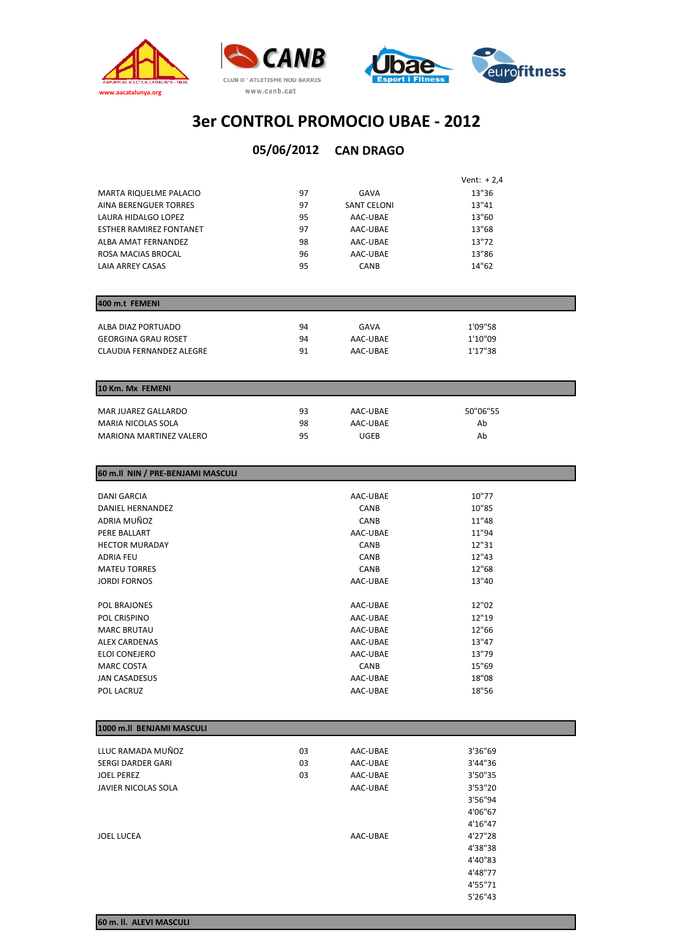



# **3er CONTROL PROMOCIO UBAE ‐ 2012**

### **05/06/2012 CAN DRAGO**

|                                |    |                    | Vent: $+2,4$ |
|--------------------------------|----|--------------------|--------------|
| <b>MARTA RIQUELME PALACIO</b>  | 97 | GAVA               | 13"36        |
| AINA BERENGUER TORRES          | 97 | <b>SANT CELONI</b> | 13"41        |
| LAURA HIDALGO LOPEZ            | 95 | AAC-UBAE           | 13"60        |
| <b>ESTHER RAMIREZ FONTANET</b> | 97 | AAC-UBAE           | 13"68        |
| ALBA AMAT FERNANDEZ            | 98 | AAC-UBAE           | 13"72        |
| ROSA MACIAS BROCAL             | 96 | AAC-UBAE           | 13"86        |
| LAIA ARREY CASAS               | 95 | <b>CANB</b>        | 14"62        |

| 400 m.t FEMENI           |    |          |         |  |
|--------------------------|----|----------|---------|--|
| ALBA DIAZ PORTUADO       | 94 | GAVA     | 1'09"58 |  |
| GEORGINA GRAU ROSET      | 94 | AAC-UBAE | 1'10"09 |  |
| CLAUDIA FERNANDEZ ALEGRE | 91 | AAC-UBAE | 1'17"38 |  |

| 10 Km. Mx FEMENI        |    |          |          |
|-------------------------|----|----------|----------|
| MAR JUAREZ GALLARDO     | 93 | AAC-UBAE | 50"06"55 |
| MARIA NICOLAS SOLA      | 98 | AAC-UBAE | Ab       |
| MARIONA MARTINEZ VALERO | 95 | UGEB     | Ab       |

| 60 m.ll NIN / PRE-BENJAMI MASCULI |             |       |
|-----------------------------------|-------------|-------|
|                                   |             |       |
| <b>DANI GARCIA</b>                | AAC-UBAE    | 10"77 |
| DANIEL HERNANDEZ                  | <b>CANB</b> | 10"85 |
| ADRIA MUÑOZ                       | <b>CANB</b> | 11"48 |
| PERE BALLART                      | AAC-UBAE    | 11"94 |
| <b>HECTOR MURADAY</b>             | <b>CANB</b> | 12"31 |
| <b>ADRIA FEU</b>                  | <b>CANB</b> | 12"43 |
| <b>MATEU TORRES</b>               | CANB        | 12"68 |
| <b>JORDI FORNOS</b>               | AAC-UBAE    | 13"40 |
|                                   |             |       |
| POL BRAJONES                      | AAC-UBAE    | 12"02 |
| POL CRISPINO                      | AAC-UBAE    | 12"19 |
| <b>MARC BRUTAU</b>                | AAC-UBAE    | 12"66 |
| <b>ALEX CARDENAS</b>              | AAC-UBAE    | 13"47 |
| ELOI CONEJERO                     | AAC-UBAE    | 13"79 |
| <b>MARC COSTA</b>                 | <b>CANB</b> | 15"69 |
| JAN CASADESUS                     | AAC-UBAE    | 18"08 |
| POL LACRUZ                        | AAC-UBAE    | 18"56 |

| 1000 m.ll BENJAMI MASCULI |    |          |         |  |
|---------------------------|----|----------|---------|--|
| LLUC RAMADA MUÑOZ         | 03 | AAC-UBAE | 3'36"69 |  |
| <b>SERGI DARDER GARI</b>  | 03 | AAC-UBAE | 3'44"36 |  |
| <b>JOEL PEREZ</b>         | 03 | AAC-UBAE | 3'50"35 |  |
| JAVIER NICOLAS SOLA       |    | AAC-UBAE | 3'53"20 |  |
|                           |    |          | 3'56"94 |  |
|                           |    |          | 4'06"67 |  |
|                           |    |          | 4'16"47 |  |
| <b>JOEL LUCEA</b>         |    | AAC-UBAE | 4'27"28 |  |
|                           |    |          | 4'38"38 |  |
|                           |    |          | 4'40"83 |  |
|                           |    |          | 4'48"77 |  |
|                           |    |          | 4'55"71 |  |
|                           |    |          | 5'26"43 |  |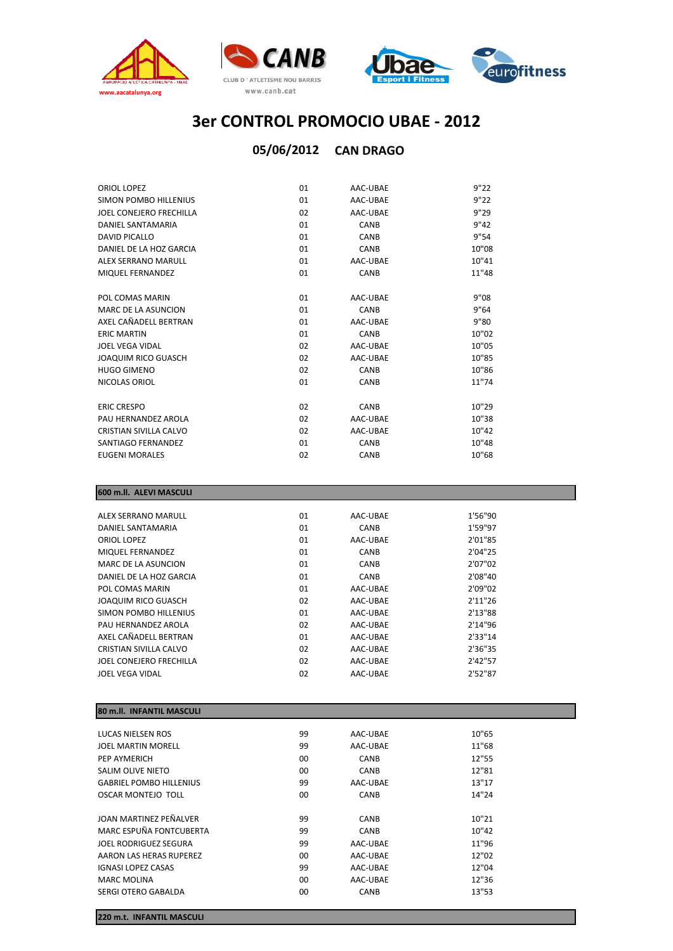



### **05/06/2012 CAN DRAGO**

| ORIOL LOPEZ             | 01 | AAC-UBAE    | 9"22  |
|-------------------------|----|-------------|-------|
| SIMON POMBO HILLENIUS   | 01 | AAC-UBAE    | 9"22  |
| JOEL CONEJERO FRECHILLA | 02 | AAC-UBAE    | 9"29  |
| DANIEL SANTAMARIA       | 01 | CANB        | 9"42  |
| DAVID PICALLO           | 01 | CANB        | 9"54  |
| DANIFI DE LA HOZ GARCIA | 01 | CANB        | 10"08 |
| ALEX SERRANO MARULL     | 01 | AAC-UBAE    | 10"41 |
| MIQUEL FERNANDEZ        | 01 | CANB        | 11"48 |
| POL COMAS MARIN         | 01 | AAC-UBAE    | 9"08  |
| MARC DE LA ASUNCION     | 01 | CANB        | 9"64  |
| AXEL CAÑADELL BERTRAN   | 01 | AAC-UBAE    | 9"80  |
| <b>ERIC MARTIN</b>      | 01 | CANB        | 10"02 |
| <b>JOEL VEGA VIDAL</b>  | 02 | AAC-UBAE    | 10"05 |
| JOAQUIM RICO GUASCH     | 02 | AAC-UBAE    | 10"85 |
| <b>HUGO GIMENO</b>      | 02 | CANB        | 10"86 |
| NICOLAS ORIOL           | 01 | CANB        | 11"74 |
| <b>ERIC CRESPO</b>      | 02 | CANB        | 10"29 |
| PAU HERNANDEZ AROLA     | 02 | AAC-UBAE    | 10"38 |
| CRISTIAN SIVILLA CALVO  | 02 | AAC-UBAE    | 10"42 |
| SANTIAGO FERNANDEZ      | 01 | CANB        | 10"48 |
| <b>EUGENI MORALES</b>   | 02 | <b>CANB</b> | 10"68 |

### **600 m.ll. ALEVI MASCULI**

| ALEX SERRANO MARULL        | 01 | AAC-UBAE    | 1'56"90  |  |
|----------------------------|----|-------------|----------|--|
| DANIEL SANTAMARIA          | 01 | CANB        | 1'59"97  |  |
| ORIOL LOPEZ                | 01 | AAC-UBAE    | 2'01"85  |  |
| MIQUEL FERNANDEZ           | 01 | CANB        | 2'04''25 |  |
| MARC DE LA ASUNCION        | 01 | <b>CANB</b> | 2'07"02  |  |
| DANIEL DE LA HOZ GARCIA    | 01 | CANB        | 2'08"40  |  |
| POL COMAS MARIN            | 01 | AAC-UBAE    | 2'09"02  |  |
| <b>JOAQUIM RICO GUASCH</b> | 02 | AAC-UBAE    | 2'11"26  |  |
| SIMON POMBO HILLENIUS      | 01 | AAC-UBAE    | 2'13"88  |  |
| PAU HERNANDEZ AROLA        | 02 | AAC-UBAE    | 2'14"96  |  |
| AXFI CAÑADELL BERTRAN      | 01 | AAC-UBAE    | 2'33"14  |  |
| CRISTIAN SIVILLA CALVO     | 02 | AAC-UBAE    | 2'36"35  |  |
| JOEL CONEJERO FRECHILLA    | 02 | AAC-UBAE    | 2'42"57  |  |
| JOEL VEGA VIDAL            | 02 | AAC-UBAE    | 2'52"87  |  |
|                            |    |             |          |  |

### **80 m.ll. INFANTIL MASCULI**

| LUCAS NIELSEN ROS              | 99      | AAC-UBAE | 10"65 |
|--------------------------------|---------|----------|-------|
| <b>JOEL MARTIN MORELL</b>      | 99      | AAC-UBAE | 11"68 |
| PEP AYMERICH                   | 00      | CANB     | 12"55 |
| SALIM OLIVE NIETO              | 00      | CANB     | 12"81 |
| <b>GABRIEL POMBO HILLENIUS</b> | 99      | AAC-UBAE | 13"17 |
| OSCAR MONTEJO TOLL             | $00 \,$ | CANB     | 14"24 |
|                                |         |          |       |
| JOAN MARTINEZ PEÑALVER         | 99      | CANB     | 10"21 |
| MARC ESPUÑA FONTCUBERTA        | 99      | CANB     | 10"42 |
| JOEL RODRIGUEZ SEGURA          | 99      | AAC-UBAE | 11"96 |
| AARON LAS HERAS RUPEREZ        | $00 \,$ | AAC-UBAE | 12"02 |
| <b>IGNASI LOPEZ CASAS</b>      | 99      | AAC-UBAE | 12"04 |
| <b>MARC MOLINA</b>             | $00 \,$ | AAC-UBAE | 12"36 |
| SERGI OTERO GABALDA            | 00      | CANB     | 13"53 |

**220 m.t. INFANTIL MASCULI**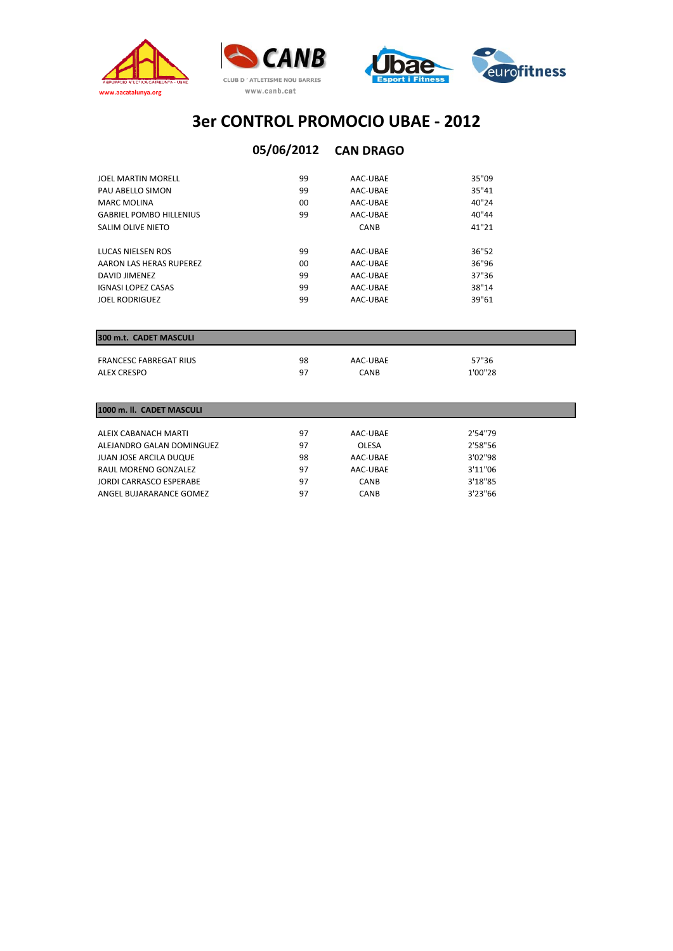



### **05/06/2012 CAN DRAGO**

| JOEL MARTIN MORELL             | 99 | AAC-UBAE    | 35"09 |
|--------------------------------|----|-------------|-------|
| PAU ABELLO SIMON               | 99 | AAC-UBAE    | 35"41 |
| <b>MARC MOLINA</b>             | 00 | AAC-UBAE    | 40"24 |
| <b>GABRIEL POMBO HILLENIUS</b> | 99 | AAC-UBAE    | 40"44 |
| SALIM OLIVE NIETO              |    | <b>CANB</b> | 41"21 |
| LUCAS NIELSEN ROS              | 99 | AAC-UBAE    | 36"52 |
| AARON LAS HERAS RUPEREZ        | 00 | AAC-UBAE    | 36"96 |
| DAVID JIMENEZ                  | 99 | AAC-UBAE    | 37"36 |
| <b>IGNASI LOPEZ CASAS</b>      | 99 | AAC-UBAE    | 38"14 |
| <b>JOEL RODRIGUEZ</b>          | 99 | AAC-UBAE    | 39"61 |
|                                |    |             |       |

### **300 m.t. CADET MASCULI**

| <b>FRANCESC FABREGAT RIUS</b> | 98 | AAC-UBAE | 57"36   |
|-------------------------------|----|----------|---------|
| ALEX CRESPO                   | 97 | CANB     | 1'00"28 |

| 1000 m. II. CADET MASCULI |    |              |          |  |  |  |  |  |  |  |  |  |
|---------------------------|----|--------------|----------|--|--|--|--|--|--|--|--|--|
|                           |    |              |          |  |  |  |  |  |  |  |  |  |
| ALEIX CABANACH MARTI      | 97 | AAC-UBAE     | 2'54"79  |  |  |  |  |  |  |  |  |  |
| ALEJANDRO GALAN DOMINGUEZ | 97 | <b>OLESA</b> | 2'58"56  |  |  |  |  |  |  |  |  |  |
| JUAN JOSE ARCILA DUQUE    | 98 | AAC-UBAE     | 3'02"98  |  |  |  |  |  |  |  |  |  |
| RAUL MORENO GONZALEZ      | 97 | AAC-UBAE     | 3'11"06  |  |  |  |  |  |  |  |  |  |
| JORDI CARRASCO ESPERABE   | 97 | <b>CANB</b>  | 3'18"85  |  |  |  |  |  |  |  |  |  |
| ANGEL BUJARARANCE GOMEZ   | 97 | <b>CANB</b>  | 3'23''66 |  |  |  |  |  |  |  |  |  |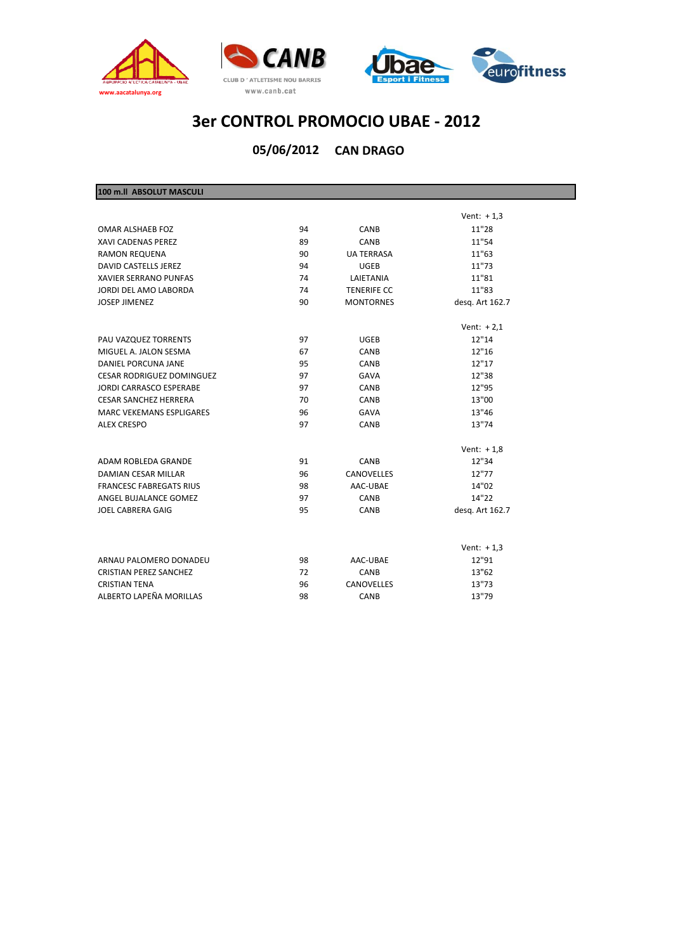



**05/06/2012 CAN DRAGO**

| 100 m.ll ABSOLUT MASCULI         |    |                    |                 |
|----------------------------------|----|--------------------|-----------------|
|                                  |    |                    |                 |
|                                  |    |                    | Vent: $+1,3$    |
| OMAR ALSHAEB FOZ                 | 94 | CANB               | 11"28           |
| <b>XAVI CADENAS PEREZ</b>        | 89 | CANB               | 11"54           |
| <b>RAMON REQUENA</b>             | 90 | <b>UA TERRASA</b>  | 11"63           |
| DAVID CASTELLS JEREZ             | 94 | <b>UGEB</b>        | 11"73           |
| <b>XAVIER SERRANO PUNFAS</b>     | 74 | LAIETANIA          | 11"81           |
| JORDI DEL AMO LABORDA            | 74 | <b>TENERIFE CC</b> | 11"83           |
| <b>JOSEP JIMENEZ</b>             | 90 | <b>MONTORNES</b>   | desq. Art 162.7 |
|                                  |    |                    | Vent: $+2,1$    |
| PAU VAZQUEZ TORRENTS             | 97 | <b>UGEB</b>        | 12"14           |
| MIGUEL A. JALON SESMA            | 67 | CANB               | 12"16           |
| DANIEL PORCUNA JANE              | 95 | CANB               | 12"17           |
| <b>CESAR RODRIGUEZ DOMINGUEZ</b> | 97 | <b>GAVA</b>        | 12"38           |
| JORDI CARRASCO ESPERABE          | 97 | CANB               | 12"95           |
| <b>CESAR SANCHEZ HERRERA</b>     | 70 | CANB               | 13"00           |
| <b>MARC VEKEMANS ESPLIGARES</b>  | 96 | <b>GAVA</b>        | 13"46           |
| <b>ALEX CRESPO</b>               | 97 | CANB               | 13"74           |
|                                  |    |                    | Vent: $+1,8$    |
| ADAM ROBLEDA GRANDE              | 91 | CANB               | 12"34           |
| <b>DAMIAN CESAR MILLAR</b>       | 96 | <b>CANOVELLES</b>  | 12"77           |
| <b>FRANCESC FABREGATS RIUS</b>   | 98 | AAC-UBAE           | 14"02           |
| ANGEL BUJALANCE GOMEZ            | 97 | CANB               | 14"22           |
| <b>JOEL CABRERA GAIG</b>         | 95 | CANB               | desq. Art 162.7 |
|                                  |    |                    |                 |
|                                  |    |                    | Vent: $+1,3$    |
| ARNAU PALOMERO DONADEU           | 98 | AAC-UBAE           | 12"91           |
| <b>CRISTIAN PEREZ SANCHEZ</b>    | 72 | CANB               | 13"62           |
| <b>CRISTIAN TENA</b>             | 96 | <b>CANOVELLES</b>  | 13"73           |
| ALBERTO LAPEÑA MORILLAS          | 98 | CANB               | 13"79           |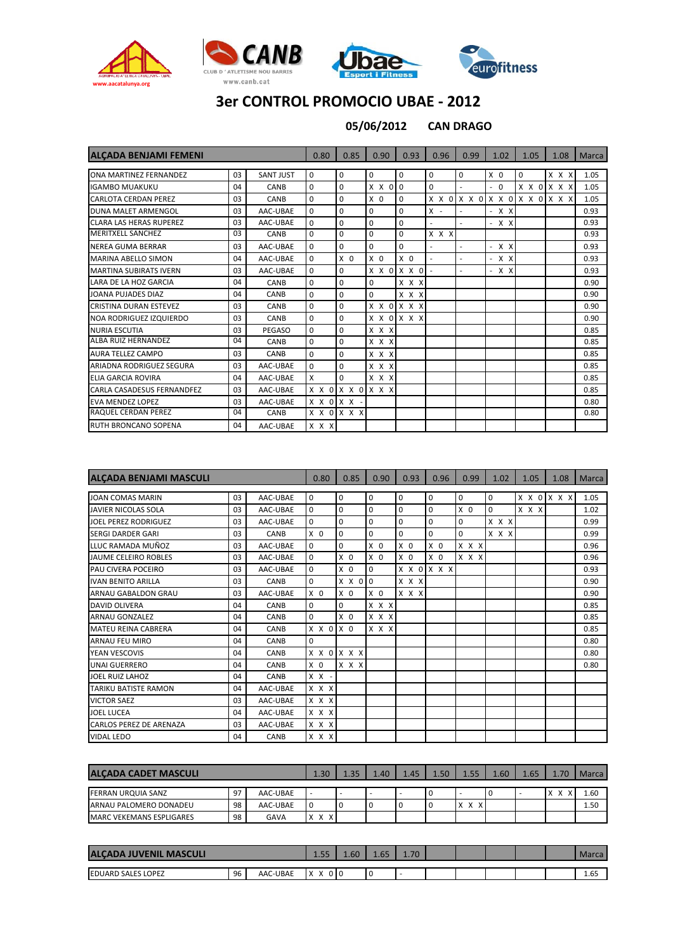







**CAN DRAGO 05/06/2012**

| <b>ALCADA BENJAMI FEMENI</b>   |                |                  | 0.80        | 0.85                    | 0.90           | 0.93                    | 0.96        | 0.99                     | 1.02           | 1.05 | 1.08                    | <b>Marca</b> |
|--------------------------------|----------------|------------------|-------------|-------------------------|----------------|-------------------------|-------------|--------------------------|----------------|------|-------------------------|--------------|
|                                |                |                  |             |                         |                |                         |             |                          |                |      |                         |              |
| ONA MARTINEZ FERNANDEZ         | 03             | <b>SANT JUST</b> | $\mathbf 0$ | 0                       | $\mathbf 0$    | $\mathbf 0$             | 0           | $\mathbf 0$              | X <sub>0</sub> | 0    | x x x                   | 1.05         |
| <b>IGAMBO MUAKUKU</b>          | 04             | CANB             | $\mathbf 0$ | 0                       | X X 0 0        |                         | $\mathbf 0$ | ٠                        | $-0$           |      | X X O X X X             | 1.05         |
| <b>CARLOTA CERDAN PEREZ</b>    | 0 <sub>3</sub> | CANB             | $\mathbf 0$ | 0                       | X <sub>0</sub> | $\Omega$                | X X O       |                          |                |      | X X 0 X X 0 X X 0 X X X | 1.05         |
| DUNA MALET ARMENGOL            | 0 <sub>3</sub> | AAC-UBAE         | $\mathbf 0$ | $\Omega$                | $\Omega$       | $\mathbf 0$             | $X -$       |                          | $- X X$        |      |                         | 0.93         |
| <b>CLARA LAS HERAS RUPEREZ</b> | 03             | AAC-UBAE         | $\mathbf 0$ | $\Omega$                | $\mathbf 0$    | $\mathbf 0$             |             | ÷.                       | $- X X$        |      |                         | 0.93         |
| <b>MERITXELL SANCHEZ</b>       | 0 <sub>3</sub> | CANB             | $\mathbf 0$ | $\Omega$                | $\Omega$       | $\mathbf 0$             | x x x       |                          |                |      |                         | 0.93         |
| NEREA GUMA BERRAR              | 0 <sub>3</sub> | AAC-UBAE         | $\Omega$    | 0                       | $\mathbf 0$    | $\mathbf 0$             |             | ٠                        | $- X X$        |      |                         | 0.93         |
| <b>MARINA ABELLO SIMON</b>     | 04             | AAC-UBAE         | $\mathbf 0$ | X <sub>0</sub>          | X <sub>0</sub> | X <sub>0</sub>          |             | $\overline{\phantom{a}}$ | $- X X$        |      |                         | 0.93         |
| <b>MARTINA SUBIRATS IVERN</b>  | 03             | AAC-UBAE         | $\mathbf 0$ | $\Omega$                |                | $X$ $X$ $0$ $X$ $X$ $0$ |             |                          | $- X X$        |      |                         | 0.93         |
| LARA DE LA HOZ GARCIA          | 04             | CANB             | $\mathbf 0$ | 0                       | $\Omega$       | X X X                   |             |                          |                |      |                         | 0.90         |
| JOANA PUJADES DIAZ             | 04             | CANB             | 0           | $\Omega$                | $\Omega$       | X X X                   |             |                          |                |      |                         | 0.90         |
| <b>CRISTINA DURAN ESTEVEZ</b>  | 03             | CANB             | $\mathbf 0$ | $\Omega$                |                | X X O X X X             |             |                          |                |      |                         | 0.90         |
| NOA RODRIGUEZ IZQUIERDO        | 03             | CANB             | $\mathbf 0$ | 0                       |                | X X O X X X             |             |                          |                |      |                         | 0.90         |
| <b>NURIA ESCUTIA</b>           | 03             | PEGASO           | $\mathbf 0$ | 0                       | x x x          |                         |             |                          |                |      |                         | 0.85         |
| <b>ALBA RUIZ HERNANDEZ</b>     | 04             | CANB             | $\mathbf 0$ | $\Omega$                | x x x          |                         |             |                          |                |      |                         | 0.85         |
| <b>AURA TELLEZ CAMPO</b>       | 0 <sub>3</sub> | CANB             | $\mathbf 0$ | 0                       | x x x          |                         |             |                          |                |      |                         | 0.85         |
| ARIADNA RODRIGUEZ SEGURA       | 0 <sub>3</sub> | AAC-UBAE         | $\mathbf 0$ | $\Omega$                | X X X          |                         |             |                          |                |      |                         | 0.85         |
| <b>ELIA GARCIA ROVIRA</b>      | 04             | AAC-UBAE         | X           | $\Omega$                | x x x          |                         |             |                          |                |      |                         | 0.85         |
| CARLA CASADESUS FERNANDFEZ     | 0 <sub>3</sub> | AAC-UBAE         |             | X X O X X O X X X       |                |                         |             |                          |                |      |                         | 0.85         |
| <b>EVA MENDEZ LOPEZ</b>        | 03             | AAC-UBAE         |             | $X$ $X$ $0$ $X$ $X$ $-$ |                |                         |             |                          |                |      |                         | 0.80         |
| RAQUEL CERDAN PEREZ            | 04             | CANB             |             | X X O X X X             |                |                         |             |                          |                |      |                         | 0.80         |
| <b>RUTH BRONCANO SOPENA</b>    | 04             | AAC-UBAE         | $X$ $X$ $X$ |                         |                |                         |             |                          |                |      |                         |              |

| <b>ALCADA BENJAMI MASCULI</b> |                |             | 0.80           | 0.85           | 0.90           | 0.93           | 0.96           | 0.99           | 1.02        | 1.05  | 1.08        | <b>Marca</b> |
|-------------------------------|----------------|-------------|----------------|----------------|----------------|----------------|----------------|----------------|-------------|-------|-------------|--------------|
|                               |                |             |                |                |                |                |                |                |             |       |             |              |
| <b>JOAN COMAS MARIN</b>       | 03             | AAC-UBAE    | 0              | $\mathbf 0$    | $\mathbf 0$    | 0              | $\overline{0}$ | 0              | $\mathbf 0$ |       | X X O X X X | 1.05         |
| <b>JAVIER NICOLAS SOLA</b>    | 03             | AAC-UBAE    | 0              | $\Omega$       | $\mathbf 0$    | 0              | $\mathbf 0$    | X <sub>0</sub> | $\mathbf 0$ | X X X |             | 1.02         |
| <b>JOEL PEREZ RODRIGUEZ</b>   | 0 <sub>3</sub> | AAC-UBAE    | 0              | $\Omega$       | $\Omega$       | 0              | $\mathbf 0$    | 0              | $X$ $X$ $X$ |       |             | 0.99         |
| <b>SERGI DARDER GARI</b>      | 03             | CANB        | X <sub>0</sub> | $\Omega$       | 0              | 0              | $\mathbf 0$    | $\overline{0}$ | X X X       |       |             | 0.99         |
| LLUC RAMADA MUÑOZ             | 03             | AAC-UBAE    | 0              | $\mathbf 0$    | $X$ 0          | X <sub>0</sub> | X <sub>0</sub> | X X X          |             |       |             | 0.96         |
| JAUME CELEIRO ROBLES          | 03             | AAC-UBAE    | 0              | X <sub>0</sub> | X <sub>0</sub> | X <sub>0</sub> | X <sub>0</sub> | X X X          |             |       |             | 0.96         |
| PAU CIVERA POCEIRO            | 03             | AAC-UBAE    | 0              | X <sub>0</sub> | $\Omega$       |                | X X O X X X    |                |             |       |             | 0.93         |
| <b>IVAN BENITO ARILLA</b>     | 03             | CANB        | 0              | X X 0 0        |                | X X X          |                |                |             |       |             | 0.90         |
| ARNAU GABALDON GRAU           | 0 <sub>3</sub> | AAC-UBAE    | $X$ 0          | X <sub>0</sub> | $X$ 0          | X X X          |                |                |             |       |             | 0.90         |
| <b>DAVID OLIVERA</b>          | 04             | CANB        | $\mathbf 0$    | $\Omega$       | X X X          |                |                |                |             |       |             | 0.85         |
| <b>ARNAU GONZALEZ</b>         | 04             | CANB        | 0              | X <sub>0</sub> | $X$ $X$ $X$    |                |                |                |             |       |             | 0.85         |
| <b>MATEU REINA CABRERA</b>    | 04             | CANB        | X X 0          | X <sub>0</sub> | X X X          |                |                |                |             |       |             | 0.85         |
| <b>ARNAU FEU MIRO</b>         | 04             | <b>CANB</b> | $\mathbf 0$    |                |                |                |                |                |             |       |             | 0.80         |
| YEAN VESCOVIS                 | 04             | CANB        | x x            | $0 \times X$   |                |                |                |                |             |       |             | 0.80         |
| <b>UNAI GUERRERO</b>          | 04             | CANB        | X <sub>0</sub> | X X X          |                |                |                |                |             |       |             | 0.80         |
| JOEL RUIZ LAHOZ               | 04             | <b>CANB</b> | X X            |                |                |                |                |                |             |       |             |              |
| TARIKU BATISTE RAMON          | 04             | AAC-UBAE    | x x x          |                |                |                |                |                |             |       |             |              |
| <b>VICTOR SAEZ</b>            | 03             | AAC-UBAE    | x x x          |                |                |                |                |                |             |       |             |              |
| <b>JOEL LUCEA</b>             | 04             | AAC-UBAE    | X X X          |                |                |                |                |                |             |       |             |              |
| CARLOS PEREZ DE ARENAZA       | 03             | AAC-UBAE    | x x x          |                |                |                |                |                |             |       |             |              |
| <b>VIDAL LEDO</b>             | 04             | CANB        | $x \times x$   |                |                |                |                |                |             |       |             |              |

| <b>ALCADA CADET MASCULI</b>      | 1.30 | 1.35     | 1.40                | 1.45 | 1.50     | 155 | $0.60^{11}$ | 0.65                           | 4.70 | Marca |  |      |
|----------------------------------|------|----------|---------------------|------|----------|-----|-------------|--------------------------------|------|-------|--|------|
| <b>FERRAN URQUIA SANZ</b>        | 97   | AAC-UBAE | . .                 |      | . .      |     |             |                                |      |       |  | 1.60 |
| ARNAU PALOMERO DONADEU           | 98   | AAC-UBAE | I 0                 | ۰٥   | <b>U</b> |     |             | $\sqrt{}$<br>X<br>$\mathbf{v}$ |      |       |  | 1.50 |
| <b>IMARC VEKEMANS ESPLIGARES</b> | 98   | GAVA     | X<br>X<br>$\sqrt{}$ |      |          |     |             |                                |      |       |  |      |

| <b>MASCULI</b><br><b>VENIL</b><br><b>AL</b><br>ADA |    |          |                          | <b>CC</b><br>ᆠ | 1.60 | 4.65 | 1.70 |  |  |             |
|----------------------------------------------------|----|----------|--------------------------|----------------|------|------|------|--|--|-------------|
|                                                    |    |          |                          |                |      |      |      |  |  |             |
| SALES LOPEZ<br><b>EDUARD</b>                       | 96 | AAC-UBAE | $\overline{ }$<br>$\sim$ | 010            |      |      |      |  |  | $-$<br>1.65 |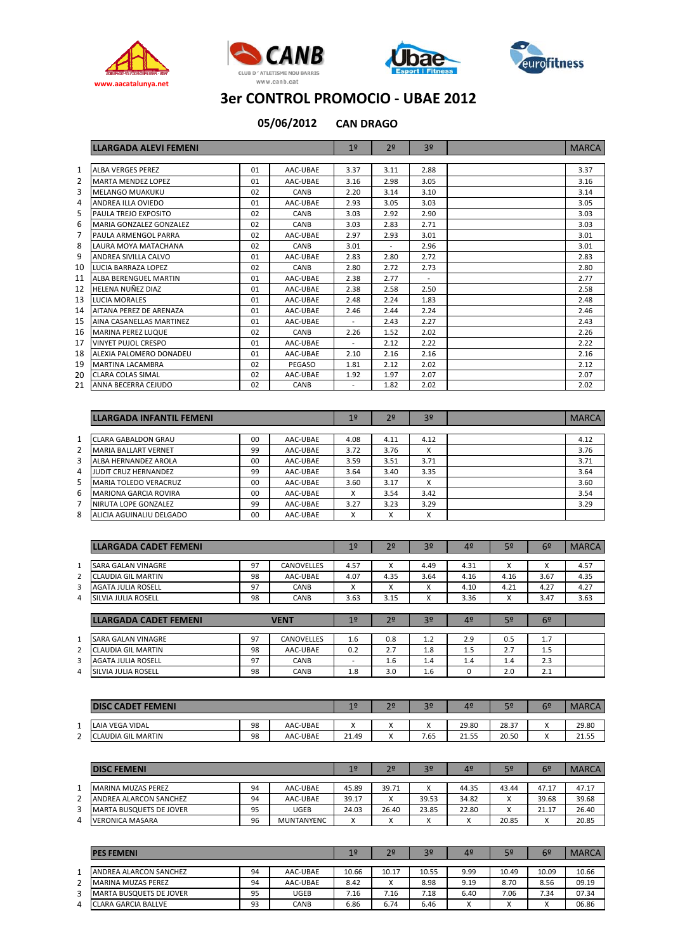







**CAN DRAGO 05/06/2012**

|              | <b>LLARGADA ALEVI FEMENI</b>   |    |             | 1 <sup>°</sup>           | 2 <sup>o</sup>           | 3 <sup>o</sup> | <b>MARCA</b> |
|--------------|--------------------------------|----|-------------|--------------------------|--------------------------|----------------|--------------|
|              |                                |    |             |                          |                          |                |              |
| $\mathbf{1}$ | <b>ALBA VERGES PEREZ</b>       | 01 | AAC-UBAE    | 3.37                     | 3.11                     | 2.88           | 3.37         |
| 2            | <b>MARTA MENDEZ LOPEZ</b>      | 01 | AAC-UBAE    | 3.16                     | 2.98                     | 3.05           | 3.16         |
| 3            | <b>MELANGO MUAKUKU</b>         | 02 | CANB        | 2.20                     | 3.14                     | 3.10           | 3.14         |
| 4            | ANDREA ILLA OVIEDO             | 01 | AAC-UBAE    | 2.93                     | 3.05                     | 3.03           | 3.05         |
| 5.           | PAULA TREJO EXPOSITO           | 02 | CANB        | 3.03                     | 2.92                     | 2.90           | 3.03         |
| 6            | <b>MARIA GONZALEZ GONZALEZ</b> | 02 | <b>CANB</b> | 3.03                     | 2.83                     | 2.71           | 3.03         |
| 7            | PAULA ARMENGOL PARRA           | 02 | AAC-UBAE    | 2.97                     | 2.93                     | 3.01           | 3.01         |
| 8            | LAURA MOYA MATACHANA           | 02 | CANB        | 3.01                     | $\overline{\phantom{a}}$ | 2.96           | 3.01         |
| 9            | ANDREA SIVILLA CALVO           | 01 | AAC-UBAE    | 2.83                     | 2.80                     | 2.72           | 2.83         |
| 10           | <b>LUCIA BARRAZA LOPEZ</b>     | 02 | CANB        | 2.80                     | 2.72                     | 2.73           | 2.80         |
| 11           | <b>ALBA BERENGUEL MARTIN</b>   | 01 | AAC-UBAE    | 2.38                     | 2.77                     | $\sim$         | 2.77         |
| 12           | HELENA NUÑEZ DIAZ              | 01 | AAC-UBAE    | 2.38                     | 2.58                     | 2.50           | 2.58         |
| 13           | <b>LUCIA MORALES</b>           | 01 | AAC-UBAE    | 2.48                     | 2.24                     | 1.83           | 2.48         |
| 14           | AITANA PEREZ DE ARENAZA        | 01 | AAC-UBAE    | 2.46                     | 2.44                     | 2.24           | 2.46         |
| 15           | AINA CASANELLAS MARTINEZ       | 01 | AAC-UBAE    | ٠                        | 2.43                     | 2.27           | 2.43         |
| 16           | <b>MARINA PEREZ LUQUE</b>      | 02 | CANB        | 2.26                     | 1.52                     | 2.02           | 2.26         |
| 17           | <b>VINYET PUJOL CRESPO</b>     | 01 | AAC-UBAE    | $\overline{\phantom{a}}$ | 2.12                     | 2.22           | 2.22         |
| 18           | ALEXIA PALOMERO DONADEU        | 01 | AAC-UBAE    | 2.10                     | 2.16                     | 2.16           | 2.16         |
| 19           | <b>MARTINA LACAMBRA</b>        | 02 | PEGASO      | 1.81                     | 2.12                     | 2.02           | 2.12         |
| 20           | <b>CLARA COLAS SIMAL</b>       | 02 | AAC-UBAE    | 1.92                     | 1.97                     | 2.07           | 2.07         |
| 21           | ANNA BECERRA CEJUDO            | 02 | CANB        | $\overline{\phantom{a}}$ | 1.82                     | 2.02           | 2.02         |

|   | LLARGADA INFANTIL FEMENI     |    |          | 1 <sup>°</sup>    | 2 <sup>o</sup> | 3 <sup>o</sup> | <b>MARCA</b> |
|---|------------------------------|----|----------|-------------------|----------------|----------------|--------------|
|   |                              |    |          |                   |                |                |              |
|   | <b>CLARA GABALDON GRAU</b>   | 00 | AAC-UBAE | 4.08              | 4.11           | 4.12           | 4.12         |
| 2 | <b>MARIA BALLART VERNET</b>  | 99 | AAC-UBAE | 3.72              | 3.76           | x              | 3.76         |
| 3 | ALBA HERNANDEZ AROLA         | 00 | AAC-UBAE | 3.59              | 3.51           | 3.71           | 3.71         |
| 4 | <b>JUDIT CRUZ HERNANDEZ</b>  | 99 | AAC-UBAE | 3.64              | 3.40           | 3.35           | 3.64         |
| 5 | <b>MARIA TOLEDO VERACRUZ</b> | 00 | AAC-UBAE | 3.60              | 3.17           | X              | 3.60         |
| 6 | <b>MARIONA GARCIA ROVIRA</b> | 00 | AAC-UBAE | x                 | 3.54           | 3.42           | 3.54         |
|   | NIRUTA LOPE GONZALEZ         | 99 | AAC-UBAE | 3.27              | 3.23           | 3.29           | 3.29         |
| 8 | ALICIA AGUINALIU DELGADO     | 00 | AAC-UBAE | $\checkmark$<br>⋏ | x              | X              |              |

|              | <b>LLARGADA CADET FEMENI</b> |    |                   | 1 <sup>°</sup>           | 2 <sup>o</sup> | 3 <sup>o</sup> | 4 <sup>°</sup> | 5º                | 6 <sup>2</sup> | <b>MARCA</b> |
|--------------|------------------------------|----|-------------------|--------------------------|----------------|----------------|----------------|-------------------|----------------|--------------|
|              |                              |    |                   |                          |                |                |                |                   |                |              |
| 1            | <b>SARA GALAN VINAGRE</b>    | 97 | <b>CANOVELLES</b> | 4.57                     | x              | 4.49           | 4.31           | $\checkmark$<br>^ | x              | 4.57         |
| 2            | CLAUDIA GIL MARTIN           | 98 | AAC-UBAE          | 4.07                     | 4.35           | 3.64           | 4.16           | 4.16              | 3.67           | 4.35         |
| 3            | <b>AGATA JULIA ROSELL</b>    | 97 | CANB              | x                        | x              | x              | 4.10           | 4.21              | 4.27           | 4.27         |
| 4            | SILVIA JULIA ROSELL          | 98 | CANB              | 3.63                     | 3.15           | X              | 3.36           | x                 | 3.47           | 3.63         |
|              |                              |    |                   |                          |                |                |                |                   |                |              |
|              | <b>LLARGADA CADET FEMENI</b> |    | <b>VENT</b>       | 1 <sup>°</sup>           | 2 <sup>o</sup> | 3 <sup>o</sup> | 4 <sup>°</sup> | 5 <sup>o</sup>    | 6 <sup>2</sup> |              |
|              |                              |    |                   |                          |                |                |                |                   |                |              |
| $\mathbf{1}$ | <b>SARA GALAN VINAGRE</b>    | 97 | <b>CANOVELLES</b> | 1.6                      | 0.8            | 1.2            | 2.9            | 0.5               | 1.7            |              |
| 2            | <b>CLAUDIA GIL MARTIN</b>    | 98 | AAC-UBAE          | 0.2                      | 2.7            | 1.8            | 1.5            | 2.7               | 1.5            |              |
| 3            | <b>AGATA JULIA ROSELL</b>    | 97 | CANB              | $\overline{\phantom{a}}$ | 1.6            | 1.4            | 1.4            | 1.4               | 2.3            |              |
| 4            | SILVIA JULIA ROSELL          | 98 | CANB              | 1.8                      | 3.0            | 1.6            | 0              | 2.0               | 2.1            |              |

|          | <b>FEMENI</b><br><b>TADET.</b> |    |          | 11 G  | 2 <sup>o</sup>          | 30        | 4º    |       | 6º                      | <b>MARCA</b> |
|----------|--------------------------------|----|----------|-------|-------------------------|-----------|-------|-------|-------------------------|--------------|
| <b>.</b> | LAIA VEGA VIDAL                | 98 | AAC-UBAE | ٠.    | $\lambda$<br>$\sqrt{ }$ | $\lambda$ | 29.80 | 28.37 | $\lambda$<br>$\lambda$  | 29.80        |
| -<br>-   | LAUDIA GIL MARTIN<br>ır        | 98 | AAC-UBAE | 21.49 | $\cdot$<br>$\sqrt{ }$   | 7.65      | 21.55 | 20.50 | $\lambda$<br>$\sqrt{ }$ | 21.55        |

|   | <b>DISC FEMENT</b>             |    |                   | 19    | 2 <sup>0</sup> | 3 <sup>o</sup> | 40    | 5º           | 6º                | <b>MARCA</b> |
|---|--------------------------------|----|-------------------|-------|----------------|----------------|-------|--------------|-------------------|--------------|
|   | <b>MARINA MUZAS PEREZ</b>      | 94 | AAC-UBAE          | 45.89 | 39.71          | $\mathbf{v}$   | 44.35 | 43.44        | 47.17             | 47.17        |
|   | ANDREA ALARCON SANCHEZ         | 94 | AAC-UBAE          | 39.17 | $\lambda$      | 39.53          | 34.82 | $\mathbf{v}$ | 39.68             | 39.68        |
| 3 | <b>MARTA BUSQUETS DE JOVER</b> | 95 | UGEB              | 24.03 | 26.40          | 23.85          | 22.80 |              | 21.17             | 26.40        |
| 4 | <b>VERONICA MASARA</b>         | 96 | <b>MUNTANYENC</b> |       | $\lambda$      | $\overline{ }$ |       | 20.85        | $\checkmark$<br>v | 20.85        |

|   | <b>PES FEMENI</b>              |    |          | 19    | 2 <sup>o</sup> | 3 <sup>o</sup> | 40   | 5º    | 6 <sup>o</sup>            | <b>MARCA</b> |
|---|--------------------------------|----|----------|-------|----------------|----------------|------|-------|---------------------------|--------------|
|   | ANDREA ALARCON SANCHEZ         | 94 | AAC-UBAE | 10.66 | 10.17          | 10.55          | 9.99 | 10.49 | 10.09                     | 10.66        |
| ∍ | <b>MARINA MUZAS PEREZ</b>      | 94 | AAC-UBAE | 8.42  | $\lambda$      | 8.98           | 9.19 | 8.70  | 8.56                      | 09.19        |
| 3 | <b>MARTA BUSQUETS DE JOVER</b> | 95 | UGEB     | 7.16  | 7.16           | 7.18           | 6.40 | 7.06  | 7.34                      | 07.34        |
| 4 | LARA GARCIA BALLVE             | 93 | CANB     | 6.86  | 6.74           | 6.46           |      |       | $\mathbf{v}$<br>$\lambda$ | 06.86        |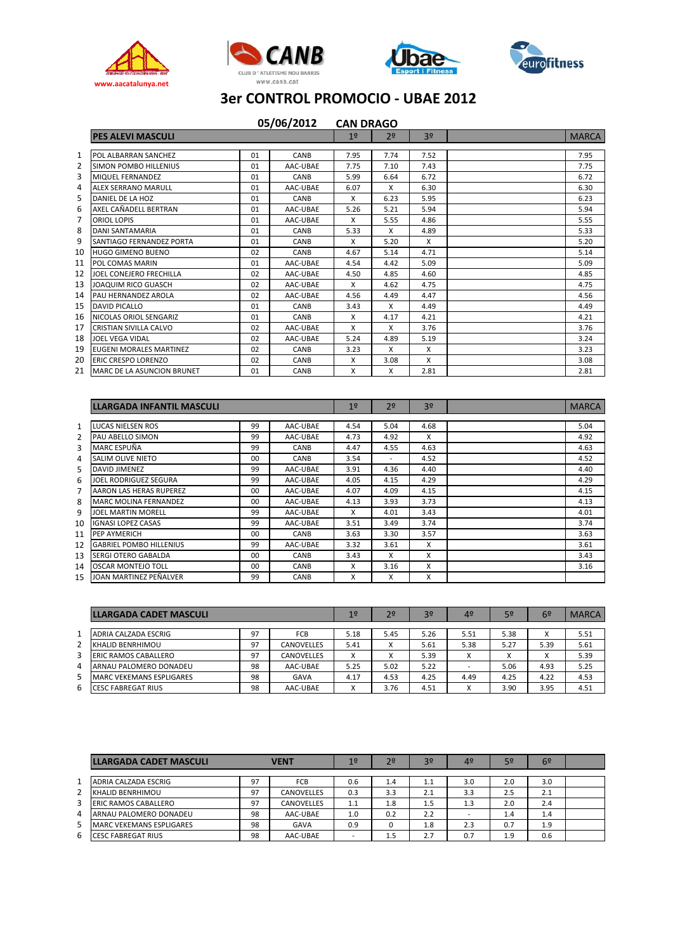







|    |                                   |    | 05/06/2012 | <b>CAN DRAGO</b> |                |      |              |
|----|-----------------------------------|----|------------|------------------|----------------|------|--------------|
|    | <b>PES ALEVI MASCULI</b>          |    |            | 1 <sup>°</sup>   | 2 <sup>o</sup> | 30   | <b>MARCA</b> |
| 1  | POL ALBARRAN SANCHEZ              | 01 | CANB       | 7.95             | 7.74           | 7.52 | 7.95         |
| 2  | <b>SIMON POMBO HILLENIUS</b>      | 01 | AAC-UBAE   | 7.75             | 7.10           | 7.43 | 7.75         |
| 3  | <b>MIQUEL FERNANDEZ</b>           | 01 | CANB       | 5.99             | 6.64           | 6.72 | 6.72         |
| 4  | <b>ALEX SERRANO MARULL</b>        | 01 | AAC-UBAE   | 6.07             | X              | 6.30 | 6.30         |
| 5  | DANIEL DE LA HOZ                  | 01 | CANB       | X                | 6.23           | 5.95 | 6.23         |
| 6  | AXEL CAÑADELL BERTRAN             | 01 | AAC-UBAE   | 5.26             | 5.21           | 5.94 | 5.94         |
| 7  | ORIOL LOPIS                       | 01 | AAC-UBAE   | X                | 5.55           | 4.86 | 5.55         |
| 8  | <b>DANI SANTAMARIA</b>            | 01 | CANB       | 5.33             | X              | 4.89 | 5.33         |
| 9  | SANTIAGO FERNANDEZ PORTA          | 01 | CANB       | X                | 5.20           | X    | 5.20         |
| 10 | <b>HUGO GIMENO BUENO</b>          | 02 | CANB       | 4.67             | 5.14           | 4.71 | 5.14         |
| 11 | POL COMAS MARIN                   | 01 | AAC-UBAE   | 4.54             | 4.42           | 5.09 | 5.09         |
| 12 | JOEL CONEJERO FRECHILLA           | 02 | AAC-UBAE   | 4.50             | 4.85           | 4.60 | 4.85         |
| 13 | JOAQUIM RICO GUASCH               | 02 | AAC-UBAE   | X                | 4.62           | 4.75 | 4.75         |
| 14 | PAU HERNANDEZ AROLA               | 02 | AAC-UBAE   | 4.56             | 4.49           | 4.47 | 4.56         |
| 15 | <b>DAVID PICALLO</b>              | 01 | CANB       | 3.43             | X              | 4.49 | 4.49         |
| 16 | NICOLAS ORIOL SENGARIZ            | 01 | CANB       | X                | 4.17           | 4.21 | 4.21         |
| 17 | <b>CRISTIAN SIVILLA CALVO</b>     | 02 | AAC-UBAE   | X                | X              | 3.76 | 3.76         |
| 18 | <b>JOEL VEGA VIDAL</b>            | 02 | AAC-UBAE   | 5.24             | 4.89           | 5.19 | 3.24         |
| 19 | <b>EUGENI MORALES MARTINEZ</b>    | 02 | CANB       | 3.23             | X              | X    | 3.23         |
| 20 | <b>ERIC CRESPO LORENZO</b>        | 02 | CANB       | X                | 3.08           | X    | 3.08         |
| 21 | <b>MARC DE LA ASUNCION BRUNET</b> | 01 | CANB       | x                | x              | 2.81 | 2.81         |

|                | <b>LLARGADA INFANTIL MASCULI</b> |    |          | 1 <sup>°</sup> | 2 <sup>o</sup> | 3 <sup>o</sup> | <b>MARCA</b> |
|----------------|----------------------------------|----|----------|----------------|----------------|----------------|--------------|
| 1              | LUCAS NIELSEN ROS                | 99 | AAC-UBAE | 4.54           | 5.04           | 4.68           | 5.04         |
|                |                                  |    |          |                |                |                |              |
| $\overline{2}$ | PAU ABELLO SIMON                 | 99 | AAC-UBAE | 4.73           | 4.92           | X              | 4.92         |
| 3              | MARC ESPUÑA                      | 99 | CANB     | 4.47           | 4.55           | 4.63           | 4.63         |
| 4              | <b>SALIM OLIVE NIETO</b>         | 00 | CANB     | 3.54           | ٠              | 4.52           | 4.52         |
| 5              | <b>DAVID JIMENEZ</b>             | 99 | AAC-UBAE | 3.91           | 4.36           | 4.40           | 4.40         |
| 6              | JOEL RODRIGUEZ SEGURA            | 99 | AAC-UBAE | 4.05           | 4.15           | 4.29           | 4.29         |
| 7              | AARON LAS HERAS RUPEREZ          | 00 | AAC-UBAE | 4.07           | 4.09           | 4.15           | 4.15         |
| 8              | <b>MARC MOLINA FERNANDEZ</b>     | 00 | AAC-UBAE | 4.13           | 3.93           | 3.73           | 4.13         |
| 9              | <b>JOEL MARTIN MORELL</b>        | 99 | AAC-UBAE | X              | 4.01           | 3.43           | 4.01         |
| 10             | <b>IGNASI LOPEZ CASAS</b>        | 99 | AAC-UBAE | 3.51           | 3.49           | 3.74           | 3.74         |
| 11             | PEP AYMERICH                     | 00 | CANB     | 3.63           | 3.30           | 3.57           | 3.63         |
| 12             | <b>GABRIEL POMBO HILLENIUS</b>   | 99 | AAC-UBAE | 3.32           | 3.61           | X              | 3.61         |
| 13             | <b>SERGI OTERO GABALDA</b>       | 00 | CANB     | 3.43           | X              | X              | 3.43         |
| 14             | <b>OSCAR MONTEJO TOLL</b>        | 00 | CANB     | X              | 3.16           | X              | 3.16         |
| 15             | JOAN MARTINEZ PEÑALVER           | 99 | CANB     | x              | X              | X              |              |

|   | LLARGADA CADET MASCULI          |    |                   | 19   | 2 <sup>0</sup>            | 3 <sup>o</sup> | 4 <sup>o</sup> | 5 <sup>o</sup> | 6º   | <b>MARCA</b> |
|---|---------------------------------|----|-------------------|------|---------------------------|----------------|----------------|----------------|------|--------------|
|   | ADRIA CALZADA ESCRIG            | 97 | <b>FCB</b>        | 5.18 | 5.45                      | 5.26           | 5.51           | 5.38           | ́    | 5.51         |
|   | KHALID BENRHIMOU                | 97 | <b>CANOVELLES</b> | 5.41 | $\checkmark$<br>$\lambda$ | 5.61           | 5.38           | 5.27           | 5.39 | 5.61         |
|   | ERIC RAMOS CABALLERO            | 97 | CANOVELLES        | X    | $\checkmark$<br>$\lambda$ | 5.39           | ́              |                | ∧    | 5.39         |
| 4 | ARNAU PALOMERO DONADEU          | 98 | AAC-UBAE          | 5.25 | 5.02                      | 5.22           |                | 5.06           | 4.93 | 5.25         |
|   | <b>MARC VEKEMANS ESPLIGARES</b> | 98 | GAVA              | 4.17 | 4.53                      | 4.25           | 4.49           | 4.25           | 4.22 | 4.53         |
| 6 | <b>CESC FABREGAT RIUS</b>       | 98 | AAC-UBAE          | х    | 3.76                      | 4.51           | $\cdot$<br>∧   | 3.90           | 3.95 | 4.51         |

|                | <b>LLARGADA CADET MASCULI</b>   |    | <b>VENT</b>       | 1 <sup>o</sup> | 2 <sup>0</sup> | 3 <sup>o</sup> | 4 <sup>°</sup> | 5º  | 6 <sup>2</sup> |  |
|----------------|---------------------------------|----|-------------------|----------------|----------------|----------------|----------------|-----|----------------|--|
|                | ADRIA CALZADA ESCRIG            | 97 | <b>FCB</b>        | 0.6            | 1.4            | 1.1            | 3.0            | 2.0 | 3.0            |  |
| $\overline{2}$ | KHALID BENRHIMOU                | 97 | <b>CANOVELLES</b> | 0.3            | 3.3            | 2.1            | 3.3            | 2.5 | 2.1            |  |
| 3              | <b>ERIC RAMOS CABALLERO</b>     | 97 | <b>CANOVELLES</b> | 1.1            | 1.8            | $1.5\,$        | 1.3            | 2.0 | 2.4            |  |
| 4              | ARNAU PALOMERO DONADEU          | 98 | AAC-UBAE          | 1.0            | 0.2            | 2.2            | ۰              | 1.4 | 1.4            |  |
|                | <b>MARC VEKEMANS ESPLIGARES</b> | 98 | <b>GAVA</b>       | 0.9            |                | 1.8            | 2.3            | 0.7 | 1.9            |  |
| -6             | CESC FABREGAT RIUS              | 98 | AAC-UBAE          | -              | 1.5            | 2.7            | 0.7            | 1.9 | 0.6            |  |